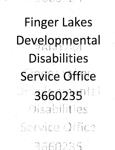## Finger Lakes Developmental Disabilities Service Office 3660235